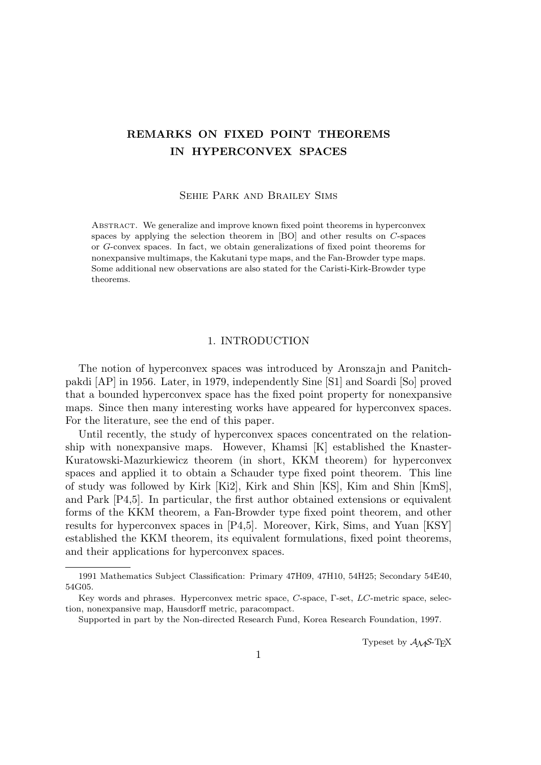# **REMARKS ON FIXED POINT THEOREMS IN HYPERCONVEX SPACES**

Sehie Park and Brailey Sims

Abstract. We generalize and improve known fixed point theorems in hyperconvex spaces by applying the selection theorem in [BO] and other results on *C*-spaces or *G*-convex spaces. In fact, we obtain generalizations of fixed point theorems for nonexpansive multimaps, the Kakutani type maps, and the Fan-Browder type maps. Some additional new observations are also stated for the Caristi-Kirk-Browder type theorems.

## 1. INTRODUCTION

The notion of hyperconvex spaces was introduced by Aronszajn and Panitchpakdi [AP] in 1956. Later, in 1979, independently Sine [S1] and Soardi [So] proved that a bounded hyperconvex space has the fixed point property for nonexpansive maps. Since then many interesting works have appeared for hyperconvex spaces. For the literature, see the end of this paper.

Until recently, the study of hyperconvex spaces concentrated on the relationship with nonexpansive maps. However, Khamsi [K] established the Knaster-Kuratowski-Mazurkiewicz theorem (in short, KKM theorem) for hyperconvex spaces and applied it to obtain a Schauder type fixed point theorem. This line of study was followed by Kirk [Ki2], Kirk and Shin [KS], Kim and Shin [KmS], and Park [P4,5]. In particular, the first author obtained extensions or equivalent forms of the KKM theorem, a Fan-Browder type fixed point theorem, and other results for hyperconvex spaces in [P4,5]. Moreover, Kirk, Sims, and Yuan [KSY] established the KKM theorem, its equivalent formulations, fixed point theorems, and their applications for hyperconvex spaces.

Typeset by  $\mathcal{A}\mathcal{M}$ S-T<sub>F</sub>X

<sup>1991</sup> Mathematics Subject Classification: Primary 47H09, 47H10, 54H25; Secondary 54E40, 54G05.

Key words and phrases. Hyperconvex metric space, *C*-space, Γ-set, *LC*-metric space, selection, nonexpansive map, Hausdorff metric, paracompact.

Supported in part by the Non-directed Research Fund, Korea Research Foundation, 1997.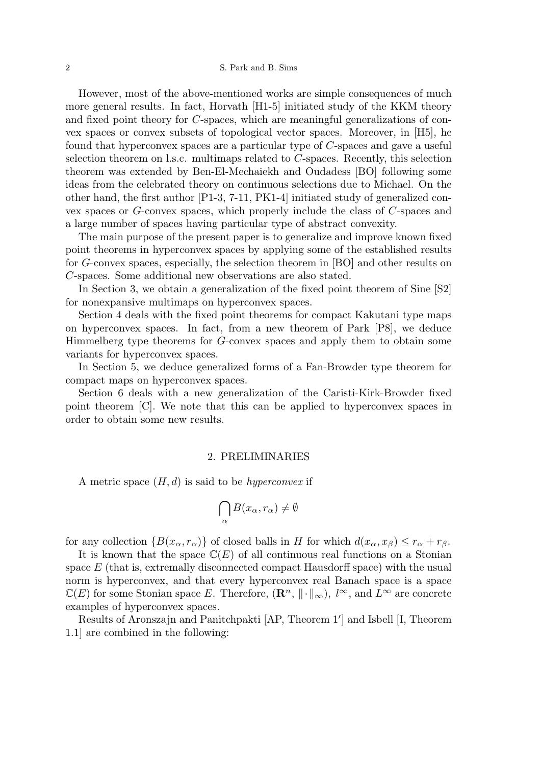However, most of the above-mentioned works are simple consequences of much more general results. In fact, Horvath [H1-5] initiated study of the KKM theory and fixed point theory for *C*-spaces, which are meaningful generalizations of convex spaces or convex subsets of topological vector spaces. Moreover, in [H5], he found that hyperconvex spaces are a particular type of *C*-spaces and gave a useful selection theorem on l.s.c. multimaps related to *C*-spaces. Recently, this selection theorem was extended by Ben-El-Mechaiekh and Oudadess [BO] following some ideas from the celebrated theory on continuous selections due to Michael. On the other hand, the first author [P1-3, 7-11, PK1-4] initiated study of generalized convex spaces or *G*-convex spaces, which properly include the class of *C*-spaces and a large number of spaces having particular type of abstract convexity.

The main purpose of the present paper is to generalize and improve known fixed point theorems in hyperconvex spaces by applying some of the established results for *G*-convex spaces, especially, the selection theorem in [BO] and other results on *C*-spaces. Some additional new observations are also stated.

In Section 3, we obtain a generalization of the fixed point theorem of Sine [S2] for nonexpansive multimaps on hyperconvex spaces.

Section 4 deals with the fixed point theorems for compact Kakutani type maps on hyperconvex spaces. In fact, from a new theorem of Park [P8], we deduce Himmelberg type theorems for *G*-convex spaces and apply them to obtain some variants for hyperconvex spaces.

In Section 5, we deduce generalized forms of a Fan-Browder type theorem for compact maps on hyperconvex spaces.

Section 6 deals with a new generalization of the Caristi-Kirk-Browder fixed point theorem [C]. We note that this can be applied to hyperconvex spaces in order to obtain some new results.

## 2. PRELIMINARIES

A metric space (*H, d*) is said to be *hyperconvex* if

$$
\bigcap_{\alpha} B(x_{\alpha}, r_{\alpha}) \neq \emptyset
$$

for any collection  ${B(x_\alpha, r_\alpha)}$  of closed balls in *H* for which  $d(x_\alpha, x_\beta) \leq r_\alpha + r_\beta$ .

It is known that the space  $\mathbb{C}(E)$  of all continuous real functions on a Stonian space *E* (that is, extremally disconnected compact Hausdorff space) with the usual norm is hyperconvex, and that every hyperconvex real Banach space is a space  $\mathbb{C}(E)$  for some Stonian space *E*. Therefore,  $(\mathbb{R}^n, \|\cdot\|_{\infty})$ ,  $l^{\infty}$ , and  $L^{\infty}$  are concrete examples of hyperconvex spaces.

Results of Aronszajn and Panitchpakti [AP, Theorem 1*′* ] and Isbell [I, Theorem 1.1] are combined in the following: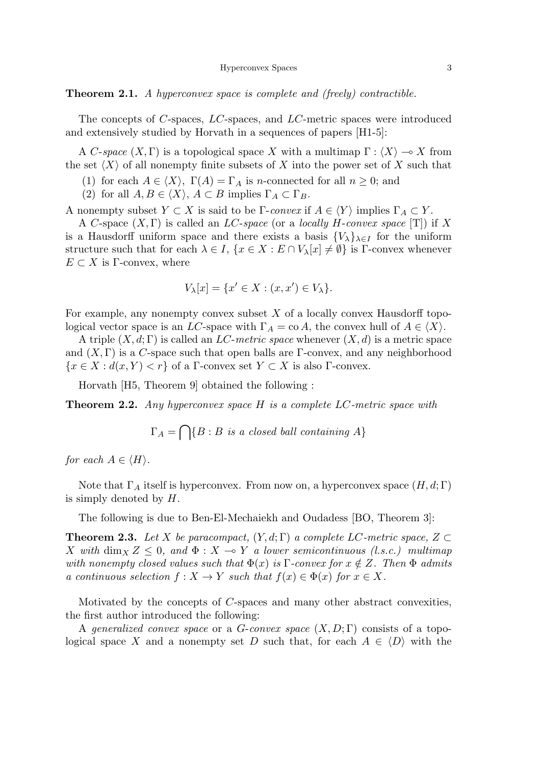**Theorem 2.1.** *A hyperconvex space is complete and (freely) contractible.*

The concepts of *C*-spaces, *LC*-spaces, and *LC*-metric spaces were introduced and extensively studied by Horvath in a sequences of papers [H1-5]:

A *C*-*space*  $(X, \Gamma)$  is a topological space X with a multimap  $\Gamma : \langle X \rangle \to X$  from the set  $\langle X \rangle$  of all nonempty finite subsets of X into the power set of X such that

- (1) for each  $A \in \langle X \rangle$ ,  $\Gamma(A) = \Gamma_A$  is *n*-connected for all  $n \geq 0$ ; and
- (2) for all  $A, B \in \langle X \rangle$ ,  $A \subset B$  implies  $\Gamma_A \subset \Gamma_B$ .

A nonempty subset  $Y \subset X$  is said to be  $\Gamma$ -*convex* if  $A \in \langle Y \rangle$  implies  $\Gamma_A \subset Y$ .

A *C*-space (*X,* Γ) is called an *LC*-*space* (or a *locally H*-*convex space* [T]) if *X* is a Hausdorff uniform space and there exists a basis  ${V_{\lambda}}_{\lambda \in I}$  for the uniform structure such that for each  $\lambda \in I$ ,  $\{x \in X : E \cap V_{\lambda}[x] \neq \emptyset\}$  is  $\Gamma$ -convex whenever  $E \subset X$  is Γ-convex, where

$$
V_{\lambda}[x] = \{x' \in X : (x, x') \in V_{\lambda}\}.
$$

For example, any nonempty convex subset *X* of a locally convex Hausdorff topological vector space is an *LC*-space with  $\Gamma_A = \text{co } A$ , the convex hull of  $A \in \langle X \rangle$ .

A triple (*X, d*; Γ) is called an *LC*-*metric space* whenever (*X, d*) is a metric space and  $(X, \Gamma)$  is a *C*-space such that open balls are  $\Gamma$ -convex, and any neighborhood  ${x \in X : d(x, Y) < r}$  of a Γ-convex set  $Y \subset X$  is also Γ-convex.

Horvath [H5, Theorem 9] obtained the following :

**Theorem 2.2.** *Any hyperconvex space H is a complete LC-metric space with*

$$
\Gamma_A = \bigcap \{ B : B \text{ is a closed ball containing } A \}
$$

*for each*  $A \in \langle H \rangle$ *.* 

Note that  $\Gamma_A$  itself is hyperconvex. From now on, a hyperconvex space  $(H, d; \Gamma)$ is simply denoted by *H*.

The following is due to Ben-El-Mechaiekh and Oudadess [BO, Theorem 3]:

**Theorem 2.3.** Let *X* be paracompact,  $(Y, d; \Gamma)$  a complete LC-metric space,  $Z \subset \Gamma$ *X* with dim<sub>X</sub>  $Z \leq 0$ , and  $\Phi : X \to Y$  a lower semicontinuous (l.s.c.) multimap *with nonempty closed values such that*  $\Phi(x)$  *is*  $\Gamma$ -*convex for*  $x \notin Z$ *. Then*  $\Phi$  *admits a continuous selection*  $f: X \to Y$  *such that*  $f(x) \in \Phi(x)$  *for*  $x \in X$ *.* 

Motivated by the concepts of *C*-spaces and many other abstract convexities, the first author introduced the following:

A *generalized convex space* or a *G*-*convex space* (*X, D*; Γ) consists of a topological space X and a nonempty set D such that, for each  $A \in \langle D \rangle$  with the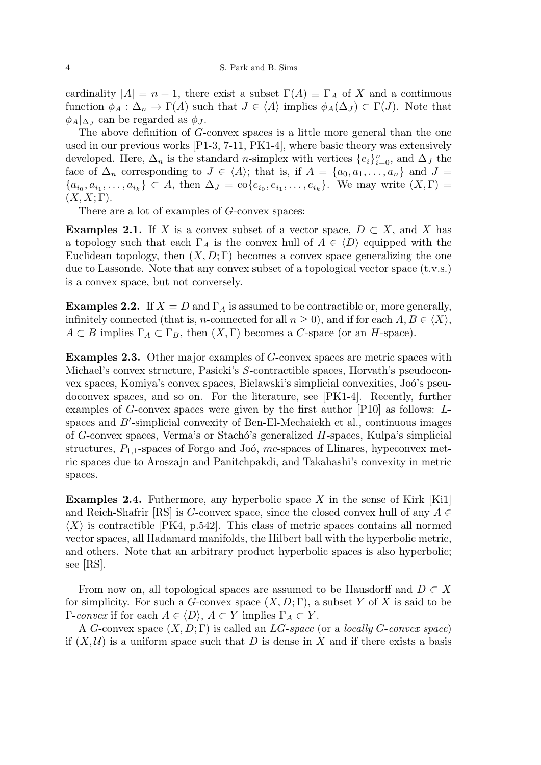cardinality  $|A| = n + 1$ , there exist a subset  $\Gamma(A) \equiv \Gamma_A$  of X and a continuous function  $\phi_A : \Delta_n \to \Gamma(A)$  such that  $J \in \langle A \rangle$  implies  $\phi_A(\Delta_J) \subset \Gamma(J)$ . Note that  $\phi_A|_{\Delta_J}$  can be regarded as  $\phi_J$ .

The above definition of *G*-convex spaces is a little more general than the one used in our previous works [P1-3, 7-11, PK1-4], where basic theory was extensively developed. Here,  $\Delta_n$  is the standard *n*-simplex with vertices  $\{e_i\}_{i=0}^n$ , and  $\Delta_J$  the face of  $\Delta_n$  corresponding to  $J \in \langle A \rangle$ ; that is, if  $A = \{a_0, a_1, \ldots, a_n\}$  and  $J =$  $\{a_{i_0}, a_{i_1}, \ldots, a_{i_k}\} \subset A$ , then  $\Delta_J = \text{co}\{e_{i_0}, e_{i_1}, \ldots, e_{i_k}\}$ . We may write  $(X, \Gamma) =$  $(X, X; \Gamma)$ .

There are a lot of examples of *G*-convex spaces:

**Examples 2.1.** If *X* is a convex subset of a vector space,  $D \subset X$ , and *X* has a topology such that each  $\Gamma_A$  is the convex hull of  $A \in \langle D \rangle$  equipped with the Euclidean topology, then  $(X, D; \Gamma)$  becomes a convex space generalizing the one due to Lassonde. Note that any convex subset of a topological vector space (t.v.s.) is a convex space, but not conversely.

**Examples 2.2.** If  $X = D$  and  $\Gamma_A$  is assumed to be contractible or, more generally, infinitely connected (that is, *n*-connected for all  $n \geq 0$ ), and if for each  $A, B \in \langle X \rangle$ ,  $A \subset B$  implies  $\Gamma_A \subset \Gamma_B$ , then  $(X, \Gamma)$  becomes a *C*-space (or an *H*-space).

**Examples 2.3.** Other major examples of *G*-convex spaces are metric spaces with Michael's convex structure, Pasicki's *S*-contractible spaces, Horvath's pseudoconvex spaces, Komiya's convex spaces, Bielawski's simplicial convexities, Joó's pseudoconvex spaces, and so on. For the literature, see [PK1-4]. Recently, further examples of *G*-convex spaces were given by the first author [P10] as follows: *L*spaces and *B'*-simplicial convexity of Ben-El-Mechaiekh et al., continuous images of *G*-convex spaces, Verma's or Stachó's generalized *H*-spaces, Kulpa's simplicial structures,  $P_{1,1}$ -spaces of Forgo and Joó,  $mc$ -spaces of Llinares, hypeconvex metric spaces due to Aroszajn and Panitchpakdi, and Takahashi's convexity in metric spaces.

**Examples 2.4.** Futhermore, any hyperbolic space *X* in the sense of Kirk [Ki1] and Reich-Shafrir [RS] is *G*-convex space, since the closed convex hull of any *A ∈*  $\langle X \rangle$  is contractible [PK4, p.542]. This class of metric spaces contains all normed vector spaces, all Hadamard manifolds, the Hilbert ball with the hyperbolic metric, and others. Note that an arbitrary product hyperbolic spaces is also hyperbolic; see [RS].

From now on, all topological spaces are assumed to be Hausdorff and  $D \subset X$ for simplicity. For such a *G*-convex space (*X, D*; Γ), a subset *Y* of *X* is said to be Γ-*convex* if for each *A ∈ ⟨D⟩*, *A ⊂ Y* implies Γ*<sup>A</sup> ⊂ Y* .

A *G*-convex space (*X, D*; Γ) is called an *LG*-*space* (or a *locally G*-*convex space*) if  $(X, \mathcal{U})$  is a uniform space such that D is dense in X and if there exists a basis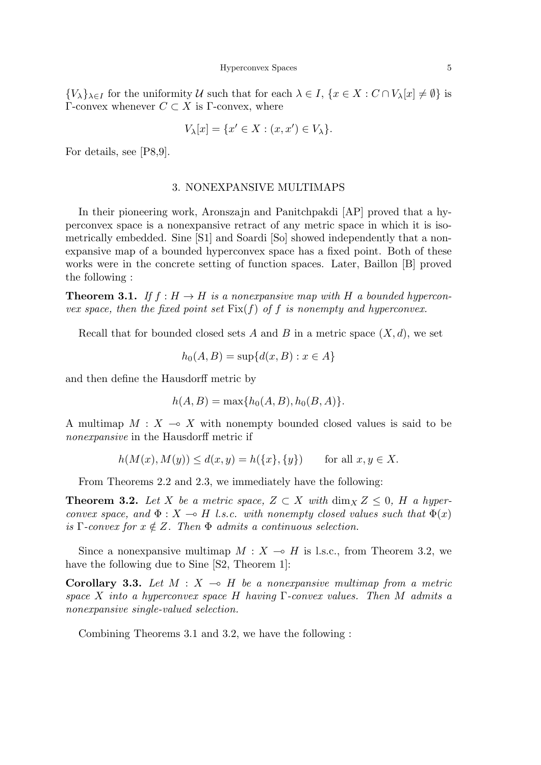$\{V_{\lambda}\}_{{\lambda}\in I}$  for the uniformity U such that for each  ${\lambda}\in I$ ,  $\{x\in X:C\cap V_{\lambda}[x]\neq\emptyset\}$  is Γ-convex whenever *C ⊂ X* is Γ-convex, where

$$
V_{\lambda}[x] = \{x' \in X : (x, x') \in V_{\lambda}\}.
$$

For details, see [P8,9].

## 3. NONEXPANSIVE MULTIMAPS

In their pioneering work, Aronszajn and Panitchpakdi [AP] proved that a hyperconvex space is a nonexpansive retract of any metric space in which it is isometrically embedded. Sine [S1] and Soardi [So] showed independently that a nonexpansive map of a bounded hyperconvex space has a fixed point. Both of these works were in the concrete setting of function spaces. Later, Baillon [B] proved the following :

**Theorem 3.1.** If  $f : H \to H$  is a nonexpansive map with H a bounded hypercon*vex space, then the fixed point set*  $Fix(f)$  *of*  $f$  *is nonempty and hyperconvex.* 

Recall that for bounded closed sets A and B in a metric space  $(X, d)$ , we set

$$
h_0(A, B) = \sup \{d(x, B) : x \in A\}
$$

and then define the Hausdorff metric by

$$
h(A, B) = \max\{h_0(A, B), h_0(B, A)\}.
$$

A multimap  $M: X \to X$  with nonempty bounded closed values is said to be *nonexpansive* in the Hausdorff metric if

$$
h(M(x), M(y)) \le d(x, y) = h(\{x\}, \{y\}) \quad \text{for all } x, y \in X.
$$

From Theorems 2.2 and 2.3, we immediately have the following:

**Theorem 3.2.** Let *X* be a metric space,  $Z \subset X$  with  $\dim_X Z \leq 0$ , *H* a hyper*convex space, and*  $\Phi: X \to H$  *l.s.c. with nonempty closed values such that*  $\Phi(x)$ *is* Γ-convex for  $x \notin Z$ . Then  $\Phi$  admits a continuous selection.

Since a nonexpansive multimap  $M : X \to H$  is l.s.c., from Theorem 3.2, we have the following due to Sine [S2, Theorem 1]:

**Corollary 3.3.** Let  $M: X \to H$  be a nonexpansive multimap from a metric *space X into a hyperconvex space H having* Γ*-convex values. Then M admits a nonexpansive single-valued selection.*

Combining Theorems 3.1 and 3.2, we have the following :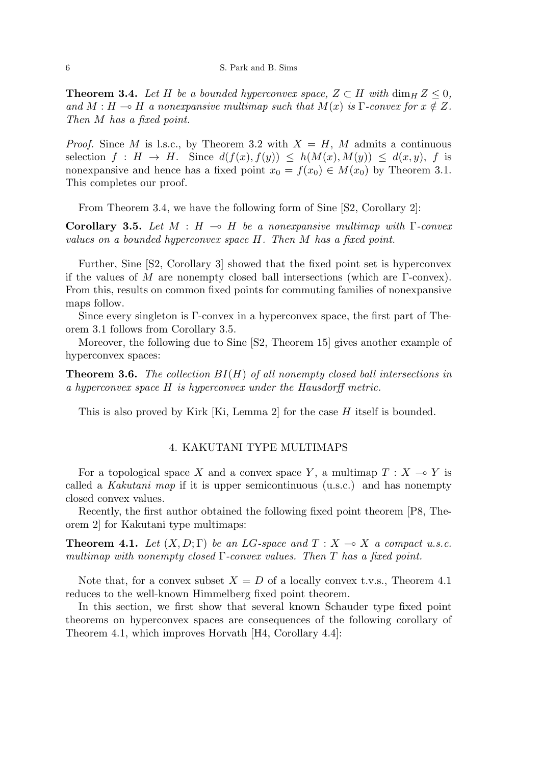**Theorem 3.4.** Let *H* be a bounded hyperconvex space,  $Z \subset H$  with  $\dim_H Z \leq 0$ , *and*  $M : H \to H$  *a nonexpansive multimap such that*  $M(x)$  *is*  $\Gamma$ *-convex for*  $x \notin Z$ *. Then M has a fixed point.*

*Proof.* Since *M* is l.s.c., by Theorem 3.2 with  $X = H$ , *M* admits a continuous selection  $f : H \to H$ . Since  $d(f(x), f(y)) \leq h(M(x), M(y)) \leq d(x, y)$ , *f* is nonexpansive and hence has a fixed point  $x_0 = f(x_0) \in M(x_0)$  by Theorem 3.1. This completes our proof.

From Theorem 3.4, we have the following form of Sine [S2, Corollary 2]:

**Corollary 3.5.** Let  $M : H \to H$  be a nonexpansive multimap with  $\Gamma$ -convex *values on a bounded hyperconvex space H. Then M has a fixed point.*

Further, Sine [S2, Corollary 3] showed that the fixed point set is hyperconvex if the values of *M* are nonempty closed ball intersections (which are Γ-convex). From this, results on common fixed points for commuting families of nonexpansive maps follow.

Since every singleton is Γ-convex in a hyperconvex space, the first part of Theorem 3.1 follows from Corollary 3.5.

Moreover, the following due to Sine [S2, Theorem 15] gives another example of hyperconvex spaces:

**Theorem 3.6.** *The collection BI*(*H*) *of all nonempty closed ball intersections in a hyperconvex space H is hyperconvex under the Hausdorff metric.*

This is also proved by Kirk [Ki, Lemma 2] for the case *H* itself is bounded.

# 4. KAKUTANI TYPE MULTIMAPS

For a topological space *X* and a convex space *Y*, a multimap  $T : X \to Y$  is called a *Kakutani map* if it is upper semicontinuous (u.s.c.) and has nonempty closed convex values.

Recently, the first author obtained the following fixed point theorem [P8, Theorem 2] for Kakutani type multimaps:

**Theorem 4.1.** *Let*  $(X, D; \Gamma)$  *be an LG-space and*  $T : X \to X$  *a compact u.s.c. multimap with nonempty closed* Γ*-convex values. Then T has a fixed point.*

Note that, for a convex subset  $X = D$  of a locally convex t.v.s., Theorem 4.1 reduces to the well-known Himmelberg fixed point theorem.

In this section, we first show that several known Schauder type fixed point theorems on hyperconvex spaces are consequences of the following corollary of Theorem 4.1, which improves Horvath [H4, Corollary 4.4]: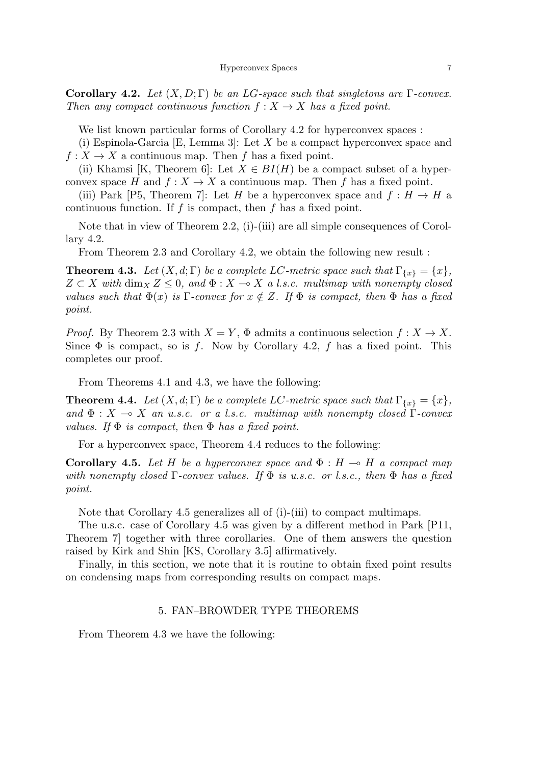**Corollary 4.2.** *Let*  $(X, D; \Gamma)$  *be an LG-space such that singletons are*  $\Gamma$ *-convex. Then any compact continuous function*  $f: X \to X$  *has a fixed point.* 

We list known particular forms of Corollary 4.2 for hyperconvex spaces :

(i) Espinola-Garcia [E, Lemma 3]: Let *X* be a compact hyperconvex space and  $f: X \to X$  a continuous map. Then *f* has a fixed point.

(ii) Khamsi [K, Theorem 6]: Let  $X \in BI(H)$  be a compact subset of a hyperconvex space *H* and  $f: X \to X$  a continuous map. Then *f* has a fixed point.

(iii) Park [P5, Theorem 7]: Let *H* be a hyperconvex space and  $f : H \to H$  a continuous function. If *f* is compact, then *f* has a fixed point.

Note that in view of Theorem 2.2, (i)-(iii) are all simple consequences of Corollary 4.2.

From Theorem 2.3 and Corollary 4.2, we obtain the following new result :

**Theorem 4.3.** *Let*  $(X, d; \Gamma)$  *be a complete LC-metric space such that*  $\Gamma_{\{x\}} = \{x\}$ *,*  $Z \subset X$  with  $\dim_X Z \leq 0$ , and  $\Phi: X \to X$  a *l.s.c. multimap with nonempty closed values such that*  $\Phi(x)$  *is* Γ*-convex for*  $x \notin Z$ *. If*  $\Phi$  *is compact, then*  $\Phi$  *has a fixed point.*

*Proof.* By Theorem 2.3 with  $X = Y$ ,  $\Phi$  admits a continuous selection  $f : X \to X$ . Since  $\Phi$  is compact, so is *f*. Now by Corollary 4.2, *f* has a fixed point. This completes our proof.

From Theorems 4.1 and 4.3, we have the following:

**Theorem 4.4.** *Let*  $(X, d; \Gamma)$  *be a complete LC-metric space such that*  $\Gamma_{\{x\}} = \{x\}$ *, and*  $\Phi$  : *X*  $\multimap$  *X an u.s.c. or a l.s.c. multimap with nonempty closed* Γ*-convex values. If* Φ *is compact, then* Φ *has a fixed point.*

For a hyperconvex space, Theorem 4.4 reduces to the following:

**Corollary 4.5.** Let *H* be a hyperconvex space and  $\Phi$  :  $H \rightarrow H$  a compact map *with nonempty closed* Γ*-convex values. If* Φ *is u.s.c. or l.s.c., then* Φ *has a fixed point.*

Note that Corollary 4.5 generalizes all of (i)-(iii) to compact multimaps.

The u.s.c. case of Corollary 4.5 was given by a different method in Park [P11, Theorem 7] together with three corollaries. One of them answers the question raised by Kirk and Shin [KS, Corollary 3.5] affirmatively.

Finally, in this section, we note that it is routine to obtain fixed point results on condensing maps from corresponding results on compact maps.

# 5. FAN–BROWDER TYPE THEOREMS

From Theorem 4.3 we have the following: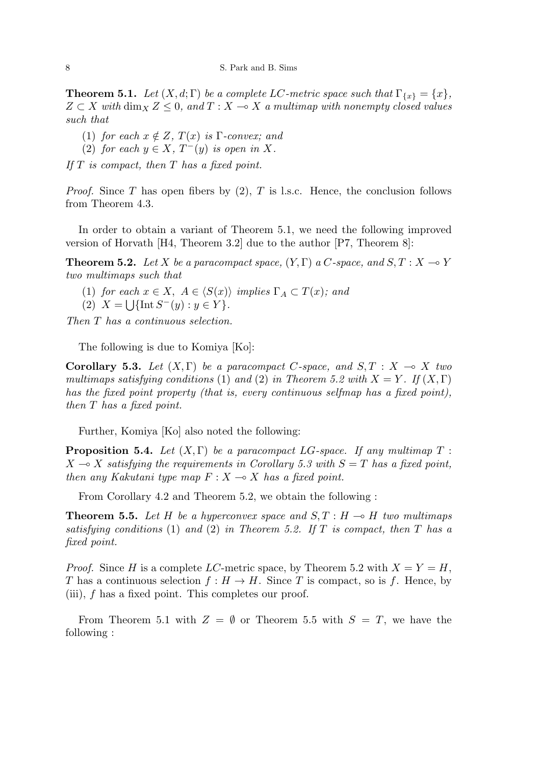**Theorem 5.1.** *Let*  $(X, d; \Gamma)$  *be a complete LC-metric space such that*  $\Gamma_{\{x\}} = \{x\}$ *,*  $Z \subset X$  *with* dim<sub>X</sub>  $Z \leq 0$ *, and*  $T : X \to X$  *a multimap with nonempty closed values such that*

- (1) *for each*  $x \notin Z$ *,*  $T(x)$  *is*  $\Gamma$ *-convex; and*
- (2) *for each*  $y \in X$ ,  $T^-(y)$  *is open in*  $X$ *.*

*If T is compact, then T has a fixed point.*

*Proof.* Since *T* has open fibers by (2), *T* is l.s.c. Hence, the conclusion follows from Theorem 4.3.

In order to obtain a variant of Theorem 5.1, we need the following improved version of Horvath [H4, Theorem 3.2] due to the author [P7, Theorem 8]:

**Theorem 5.2.** Let *X* be a paracompact space,  $(Y, \Gamma)$  a *C*-space, and  $S, T : X \rightarrow Y$ *two multimaps such that*

(1) *for each*  $x \in X$ ,  $A \in \langle S(x) \rangle$  *implies*  $\Gamma_A \subset T(x)$ *; and* 

(2) 
$$
X = \bigcup \{ \text{Int } S^-(y) : y \in Y \}.
$$

*Then T has a continuous selection.*

The following is due to Komiya [Ko]:

**Corollary 5.3.** Let  $(X, \Gamma)$  be a paracompact C-space, and  $S, T : X \rightarrow X$  two *multimaps satisfying conditions* (1) *and* (2) *in Theorem 5.2 with*  $X = Y$ . If  $(X, \Gamma)$ *has the fixed point property (that is, every continuous selfmap has a fixed point), then T has a fixed point.*

Further, Komiya [Ko] also noted the following:

**Proposition 5.4.** *Let*  $(X, \Gamma)$  *be a paracompact LG-space. If any multimap*  $T$ :  $X \rightarrow X$  *satisfying the requirements in Corollary 5.3 with*  $S = T$  *has a fixed point, then any Kakutani type map*  $F: X \rightarrow X$  *has a fixed point.* 

From Corollary 4.2 and Theorem 5.2, we obtain the following :

**Theorem 5.5.** Let H be a hyperconvex space and  $S, T : H \rightarrow H$  two multimaps *satisfying conditions* (1) *and* (2) *in Theorem 5.2. If T is compact, then T has a fixed point.*

*Proof.* Since *H* is a complete *LC*-metric space, by Theorem 5.2 with  $X = Y = H$ , *T* has a continuous selection  $f : H \to H$ . Since *T* is compact, so is *f*. Hence, by (iii), *f* has a fixed point. This completes our proof.

From Theorem 5.1 with  $Z = \emptyset$  or Theorem 5.5 with  $S = T$ , we have the following :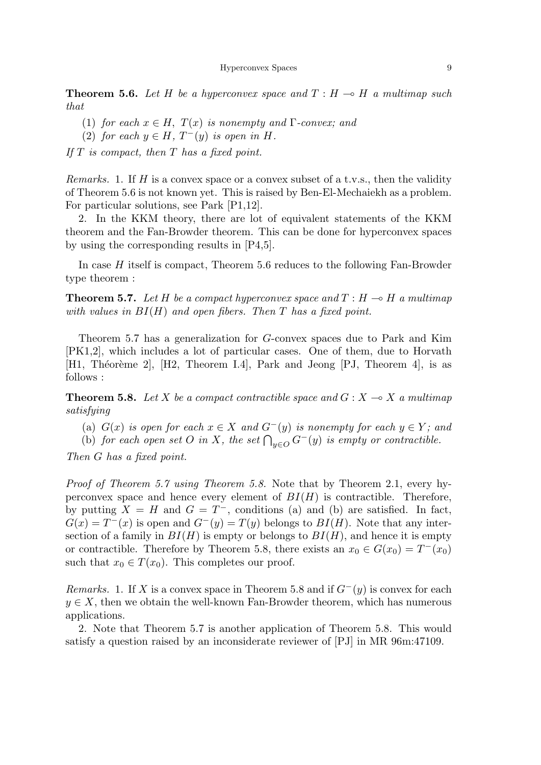**Theorem 5.6.** Let H be a hyperconvex space and  $T : H \to H$  a multimap such *that*

- (1) *for each*  $x \in H$ ,  $T(x)$  *is nonempty and*  $\Gamma$ *-convex; and*
- (2) *for each*  $y \in H$ ,  $T^-(y)$  *is open in*  $H$ *.*

*If T is compact, then T has a fixed point.*

*Remarks.* 1. If *H* is a convex space or a convex subset of a t.v.s., then the validity of Theorem 5.6 is not known yet. This is raised by Ben-El-Mechaiekh as a problem. For particular solutions, see Park [P1,12].

2. In the KKM theory, there are lot of equivalent statements of the KKM theorem and the Fan-Browder theorem. This can be done for hyperconvex spaces by using the corresponding results in [P4,5].

In case *H* itself is compact, Theorem 5.6 reduces to the following Fan-Browder type theorem :

**Theorem 5.7.** Let H be a compact hyperconvex space and  $T : H \to H$  a multimap *with values in BI*(*H*) *and open fibers. Then T has a fixed point.*

Theorem 5.7 has a generalization for *G*-convex spaces due to Park and Kim [PK1,2], which includes a lot of particular cases. One of them, due to Horvath [H1, Théorème 2], [H2, Theorem I.4], Park and Jeong [PJ, Theorem 4], is as follows :

**Theorem 5.8.** Let X be a compact contractible space and  $G: X \rightarrow X$  a multimap *satisfying*

(a)  $G(x)$  *is open for each*  $x \in X$  *and*  $G^{-}(y)$  *is nonempty for each*  $y \in Y$ *; and* 

(b) *for each open set O in X*, *the set*  $\bigcap_{y \in O} G^-(y)$  *is empty or contractible.* 

*Then G has a fixed point.*

*Proof of Theorem 5.7 using Theorem 5.8.* Note that by Theorem 2.1, every hyperconvex space and hence every element of *BI*(*H*) is contractible. Therefore, by putting  $X = H$  and  $G = T^-$ , conditions (a) and (b) are satisfied. In fact,  $G(x) = T^{-}(x)$  is open and  $G^{-}(y) = T(y)$  belongs to  $BI(H)$ . Note that any intersection of a family in  $BI(H)$  is empty or belongs to  $BI(H)$ , and hence it is empty or contractible. Therefore by Theorem 5.8, there exists an  $x_0 \in G(x_0) = T^-(x_0)$ such that  $x_0 \in T(x_0)$ . This completes our proof.

*Remarks.* 1. If *X* is a convex space in Theorem 5.8 and if  $G$ <sup>−</sup>(*y*) is convex for each  $y \in X$ , then we obtain the well-known Fan-Browder theorem, which has numerous applications.

2. Note that Theorem 5.7 is another application of Theorem 5.8. This would satisfy a question raised by an inconsiderate reviewer of [PJ] in MR 96m:47109.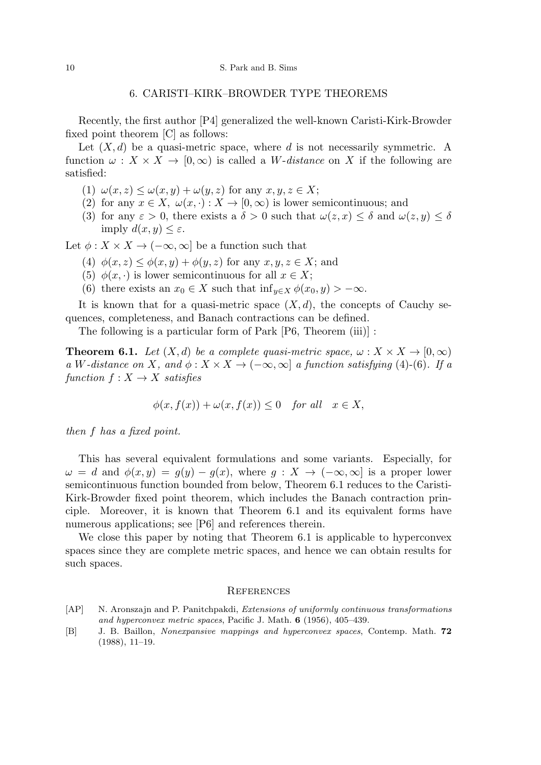#### 6. CARISTI–KIRK–BROWDER TYPE THEOREMS

Recently, the first author [P4] generalized the well-known Caristi-Kirk-Browder fixed point theorem [C] as follows:

Let  $(X, d)$  be a quasi-metric space, where *d* is not necessarily symmetric. A function  $\omega : X \times X \to [0, \infty)$  is called a *W*-distance on X if the following are satisfied:

- (1)  $\omega(x, z) \leq \omega(x, y) + \omega(y, z)$  for any  $x, y, z \in X$ ;
- (2) for any  $x \in X$ ,  $\omega(x, \cdot) : X \to [0, \infty)$  is lower semicontinuous; and
- (3) for any  $\varepsilon > 0$ , there exists a  $\delta > 0$  such that  $\omega(z, x) \leq \delta$  and  $\omega(z, y) \leq \delta$ imply  $d(x, y) \leq \varepsilon$ .

Let  $\phi: X \times X \to (-\infty, \infty]$  be a function such that

- (4)  $\phi(x, z) \leq \phi(x, y) + \phi(y, z)$  for any  $x, y, z \in X$ ; and
- (5)  $\phi(x, \cdot)$  is lower semicontinuous for all  $x \in X$ ;
- (6) there exists an  $x_0 \in X$  such that  $\inf_{y \in X} \phi(x_0, y) > -\infty$ .

It is known that for a quasi-metric space  $(X, d)$ , the concepts of Cauchy sequences, completeness, and Banach contractions can be defined.

The following is a particular form of Park [P6, Theorem (iii)] :

**Theorem 6.1.** Let  $(X,d)$  be a complete quasi-metric space,  $\omega: X \times X \rightarrow [0,\infty)$  $a \ W$ *-distance on*  $X$ *, and*  $\phi: X \times X \to (-\infty, \infty]$  *a function satisfying* (4)-(6)*.* If a  $function f: X \rightarrow X$  *satisfies* 

$$
\phi(x, f(x)) + \omega(x, f(x)) \le 0 \quad \text{for all} \quad x \in X,
$$

*then f has a fixed point.*

This has several equivalent formulations and some variants. Especially, for  $\omega = d$  and  $\phi(x, y) = g(y) - g(x)$ , where  $g : X \to (-\infty, \infty]$  is a proper lower semicontinuous function bounded from below, Theorem 6.1 reduces to the Caristi-Kirk-Browder fixed point theorem, which includes the Banach contraction principle. Moreover, it is known that Theorem 6.1 and its equivalent forms have numerous applications; see [P6] and references therein.

We close this paper by noting that Theorem 6.1 is applicable to hyperconvex spaces since they are complete metric spaces, and hence we can obtain results for such spaces.

#### **REFERENCES**

- [AP] N. Aronszajn and P. Panitchpakdi, *Extensions of uniformly continuous transformations and hyperconvex metric spaces*, Pacific J. Math. **6** (1956), 405–439.
- [B] J. B. Baillon, *Nonexpansive mappings and hyperconvex spaces*, Contemp. Math. **72** (1988), 11–19.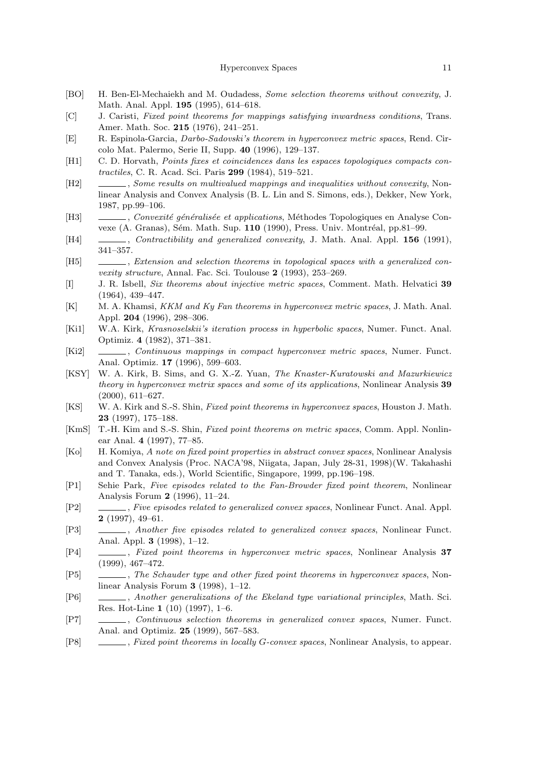- [BO] H. Ben-El-Mechaiekh and M. Oudadess, *Some selection theorems without convexity*, J. Math. Anal. Appl. **195** (1995), 614–618.
- [C] J. Caristi, *Fixed point theorems for mappings satisfying inwardness conditions*, Trans. Amer. Math. Soc. **215** (1976), 241–251.
- [E] R. Espinola-Garcia, *Darbo-Sadovski's theorem in hyperconvex metric spaces*, Rend. Circolo Mat. Palermo, Serie II, Supp. **40** (1996), 129–137.
- [H1] C. D. Horvath, *Points fixes et coincidences dans les espaces topologiques compacts contractiles*, C. R. Acad. Sci. Paris **299** (1984), 519–521.
- [H2] , *Some results on multivalued mappings and inequalities without convexity*, Nonlinear Analysis and Convex Analysis (B. L. Lin and S. Simons, eds.), Dekker, New York, 1987, pp.99–106.
- [H3] , *Convexité généralisée et applications*, Méthodes Topologiques en Analyse Convexe (A. Granas), Sém. Math. Sup. **110** (1990), Press. Univ. Montréal, pp.81–99.
- [H4] , *Contractibility and generalized convexity*, J. Math. Anal. Appl. **156** (1991), 341–357.
- [H5] , *Extension and selection theorems in topological spaces with a generalized convexity structure*, Annal. Fac. Sci. Toulouse **2** (1993), 253–269.
- [I] J. R. Isbell, *Six theorems about injective metric spaces*, Comment. Math. Helvatici **39** (1964), 439–447.
- [K] M. A. Khamsi, *KKM and Ky Fan theorems in hyperconvex metric spaces*, J. Math. Anal. Appl. **204** (1996), 298–306.
- [Ki1] W.A. Kirk, *Krasnoselskii's iteration process in hyperbolic spaces*, Numer. Funct. Anal. Optimiz. **4** (1982), 371–381.
- [Ki2] , *Continuous mappings in compact hyperconvex metric spaces*, Numer. Funct. Anal. Optimiz. **17** (1996), 599–603.
- [KSY] W. A. Kirk, B. Sims, and G. X.-Z. Yuan, *The Knaster-Kuratowski and Mazurkiewicz theory in hyperconvex metrix spaces and some of its applications*, Nonlinear Analysis **39** (2000), 611–627.
- [KS] W. A. Kirk and S.-S. Shin, *Fixed point theorems in hyperconvex spaces*, Houston J. Math. **23** (1997), 175–188.
- [KmS] T.-H. Kim and S.-S. Shin, *Fixed point theorems on metric spaces*, Comm. Appl. Nonlinear Anal. **4** (1997), 77–85.
- [Ko] H. Komiya, *A note on fixed point properties in abstract convex spaces*, Nonlinear Analysis and Convex Analysis (Proc. NACA'98, Niigata, Japan, July 28-31, 1998)(W. Takahashi and T. Tanaka, eds.), World Scientific, Singapore, 1999, pp.196–198.
- [P1] Sehie Park, *Five episodes related to the Fan-Browder fixed point theorem*, Nonlinear Analysis Forum **2** (1996), 11–24.
- [P2] , *Five episodes related to generalized convex spaces*, Nonlinear Funct. Anal. Appl. **2** (1997), 49–61.
- [P3] , *Another five episodes related to generalized convex spaces*, Nonlinear Funct. Anal. Appl. **3** (1998), 1–12.
- [P4] , *Fixed point theorems in hyperconvex metric spaces*, Nonlinear Analysis **37** (1999), 467–472.
- [P5] , *The Schauder type and other fixed point theorems in hyperconvex spaces*, Nonlinear Analysis Forum **3** (1998), 1–12.
- [P6] , *Another generalizations of the Ekeland type variational principles*, Math. Sci. Res. Hot-Line **1** (10) (1997), 1–6.
- [P7] , *Continuous selection theorems in generalized convex spaces*, Numer. Funct. Anal. and Optimiz. **25** (1999), 567–583.
- [P8] , *Fixed point theorems in locally G-convex spaces*, Nonlinear Analysis, to appear.